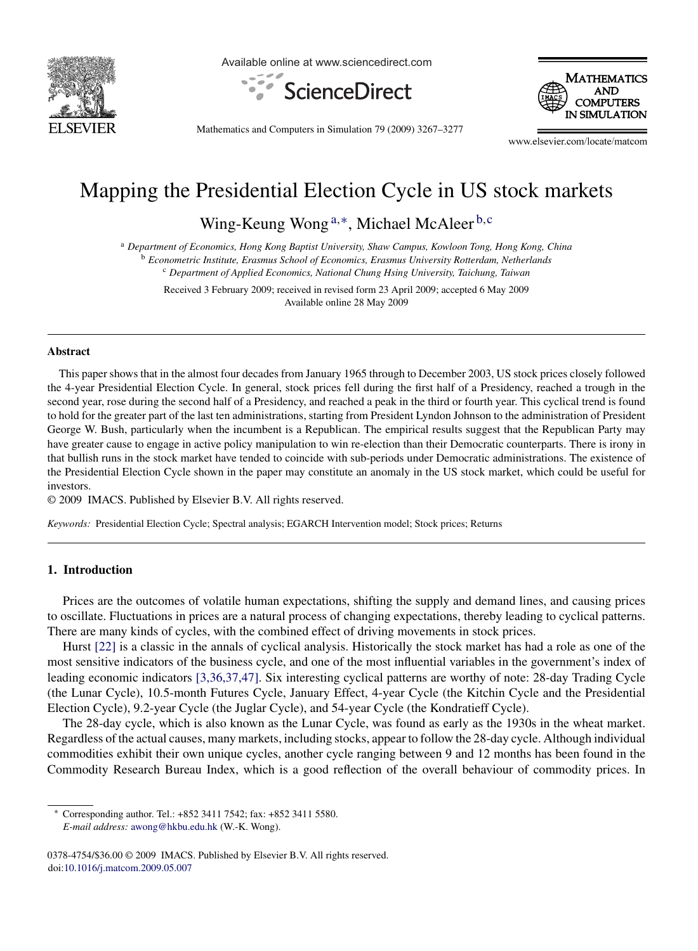

Available online at www.sciencedirect.com





Mathematics and Computers in Simulation 79 (2009) 3267–3277

www.elsevier.com/locate/matcom

## Mapping the Presidential Election Cycle in US stock markets

Wing-Keung Wong<sup>a,∗</sup>, Michael McAleer<sup>b,c</sup>

<sup>a</sup> *Department of Economics, Hong Kong Baptist University, Shaw Campus, Kowloon Tong, Hong Kong, China* <sup>b</sup> *Econometric Institute, Erasmus School of Economics, Erasmus University Rotterdam, Netherlands* <sup>c</sup> *Department of Applied Economics, National Chung Hsing University, Taichung, Taiwan*

Received 3 February 2009; received in revised form 23 April 2009; accepted 6 May 2009 Available online 28 May 2009

## **Abstract**

This paper shows that in the almost four decades from January 1965 through to December 2003, US stock prices closely followed the 4-year Presidential Election Cycle. In general, stock prices fell during the first half of a Presidency, reached a trough in the second year, rose during the second half of a Presidency, and reached a peak in the third or fourth year. This cyclical trend is found to hold for the greater part of the last ten administrations, starting from President Lyndon Johnson to the administration of President George W. Bush, particularly when the incumbent is a Republican. The empirical results suggest that the Republican Party may have greater cause to engage in active policy manipulation to win re-election than their Democratic counterparts. There is irony in that bullish runs in the stock market have tended to coincide with sub-periods under Democratic administrations. The existence of the Presidential Election Cycle shown in the paper may constitute an anomaly in the US stock market, which could be useful for investors.

© 2009 IMACS. Published by Elsevier B.V. All rights reserved.

*Keywords:* Presidential Election Cycle; Spectral analysis; EGARCH Intervention model; Stock prices; Returns

## **1. Introduction**

Prices are the outcomes of volatile human expectations, shifting the supply and demand lines, and causing prices to oscillate. Fluctuations in prices are a natural process of changing expectations, thereby leading to cyclical patterns. There are many kinds of cycles, with the combined effect of driving movements in stock prices.

Hurst [\[22\]](#page--1-0) is a classic in the annals of cyclical analysis. Historically the stock market has had a role as one of the most sensitive indicators of the business cycle, and one of the most influential variables in the government's index of leading economic indicators [\[3,36,37,47\]. S](#page--1-0)ix interesting cyclical patterns are worthy of note: 28-day Trading Cycle (the Lunar Cycle), 10.5-month Futures Cycle, January Effect, 4-year Cycle (the Kitchin Cycle and the Presidential Election Cycle), 9.2-year Cycle (the Juglar Cycle), and 54-year Cycle (the Kondratieff Cycle).

The 28-day cycle, which is also known as the Lunar Cycle, was found as early as the 1930s in the wheat market. Regardless of the actual causes, many markets, including stocks, appear to follow the 28-day cycle. Although individual commodities exhibit their own unique cycles, another cycle ranging between 9 and 12 months has been found in the Commodity Research Bureau Index, which is a good reflection of the overall behaviour of commodity prices. In

<sup>∗</sup> Corresponding author. Tel.: +852 3411 7542; fax: +852 3411 5580. *E-mail address:* [awong@hkbu.edu.hk](mailto:awong@hkbu.edu.hk) (W.-K. Wong).

<sup>0378-4754/\$36.00 © 2009</sup> IMACS. Published by Elsevier B.V. All rights reserved. doi:[10.1016/j.matcom.2009.05.007](dx.doi.org/10.1016/j.matcom.2009.05.007)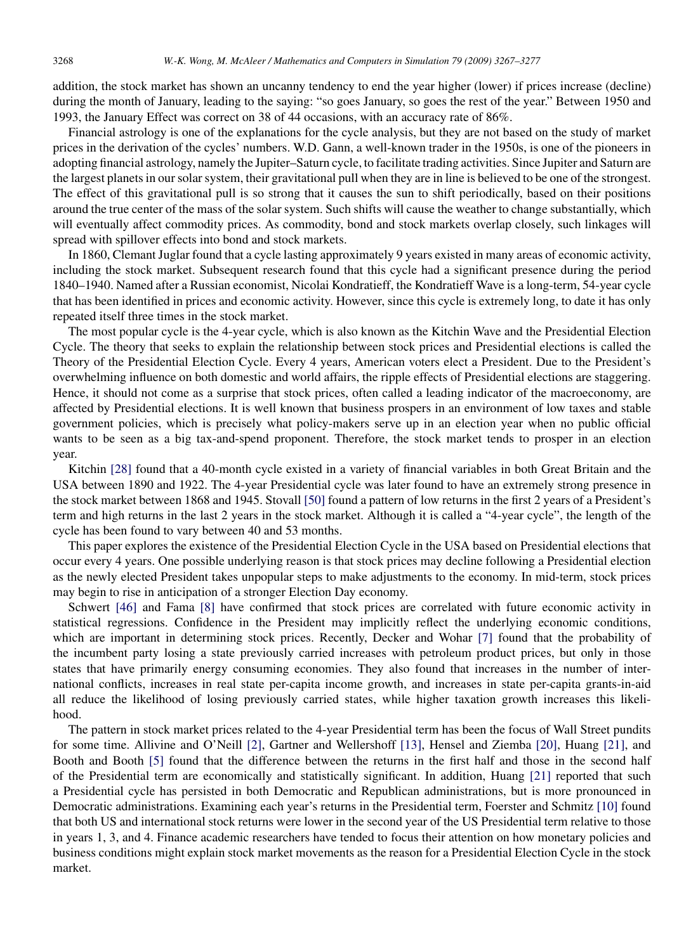addition, the stock market has shown an uncanny tendency to end the year higher (lower) if prices increase (decline) during the month of January, leading to the saying: "so goes January, so goes the rest of the year." Between 1950 and 1993, the January Effect was correct on 38 of 44 occasions, with an accuracy rate of 86%.

Financial astrology is one of the explanations for the cycle analysis, but they are not based on the study of market prices in the derivation of the cycles' numbers. W.D. Gann, a well-known trader in the 1950s, is one of the pioneers in adopting financial astrology, namely the Jupiter–Saturn cycle, to facilitate trading activities. Since Jupiter and Saturn are the largest planets in our solar system, their gravitational pull when they are in line is believed to be one of the strongest. The effect of this gravitational pull is so strong that it causes the sun to shift periodically, based on their positions around the true center of the mass of the solar system. Such shifts will cause the weather to change substantially, which will eventually affect commodity prices. As commodity, bond and stock markets overlap closely, such linkages will spread with spillover effects into bond and stock markets.

In 1860, Clemant Juglar found that a cycle lasting approximately 9 years existed in many areas of economic activity, including the stock market. Subsequent research found that this cycle had a significant presence during the period 1840–1940. Named after a Russian economist, Nicolai Kondratieff, the Kondratieff Wave is a long-term, 54-year cycle that has been identified in prices and economic activity. However, since this cycle is extremely long, to date it has only repeated itself three times in the stock market.

The most popular cycle is the 4-year cycle, which is also known as the Kitchin Wave and the Presidential Election Cycle. The theory that seeks to explain the relationship between stock prices and Presidential elections is called the Theory of the Presidential Election Cycle. Every 4 years, American voters elect a President. Due to the President's overwhelming influence on both domestic and world affairs, the ripple effects of Presidential elections are staggering. Hence, it should not come as a surprise that stock prices, often called a leading indicator of the macroeconomy, are affected by Presidential elections. It is well known that business prospers in an environment of low taxes and stable government policies, which is precisely what policy-makers serve up in an election year when no public official wants to be seen as a big tax-and-spend proponent. Therefore, the stock market tends to prosper in an election year.

Kitchin [\[28\]](#page--1-0) found that a 40-month cycle existed in a variety of financial variables in both Great Britain and the USA between 1890 and 1922. The 4-year Presidential cycle was later found to have an extremely strong presence in the stock market between 1868 and 1945. Stovall [\[50\]](#page--1-0) found a pattern of low returns in the first 2 years of a President's term and high returns in the last 2 years in the stock market. Although it is called a "4-year cycle", the length of the cycle has been found to vary between 40 and 53 months.

This paper explores the existence of the Presidential Election Cycle in the USA based on Presidential elections that occur every 4 years. One possible underlying reason is that stock prices may decline following a Presidential election as the newly elected President takes unpopular steps to make adjustments to the economy. In mid-term, stock prices may begin to rise in anticipation of a stronger Election Day economy.

Schwert [\[46\]](#page--1-0) and Fama [\[8\]](#page--1-0) have confirmed that stock prices are correlated with future economic activity in statistical regressions. Confidence in the President may implicitly reflect the underlying economic conditions, which are important in determining stock prices. Recently, Decker and Wohar [\[7\]](#page--1-0) found that the probability of the incumbent party losing a state previously carried increases with petroleum product prices, but only in those states that have primarily energy consuming economies. They also found that increases in the number of international conflicts, increases in real state per-capita income growth, and increases in state per-capita grants-in-aid all reduce the likelihood of losing previously carried states, while higher taxation growth increases this likelihood.

The pattern in stock market prices related to the 4-year Presidential term has been the focus of Wall Street pundits for some time. Allivine and O'Neill [\[2\],](#page--1-0) Gartner and Wellershoff [\[13\],](#page--1-0) Hensel and Ziemba [\[20\],](#page--1-0) Huang [\[21\],](#page--1-0) and Booth and Booth [\[5\]](#page--1-0) found that the difference between the returns in the first half and those in the second half of the Presidential term are economically and statistically significant. In addition, Huang [\[21\]](#page--1-0) reported that such a Presidential cycle has persisted in both Democratic and Republican administrations, but is more pronounced in Democratic administrations. Examining each year's returns in the Presidential term, Foerster and Schmitz [\[10\]](#page--1-0) found that both US and international stock returns were lower in the second year of the US Presidential term relative to those in years 1, 3, and 4. Finance academic researchers have tended to focus their attention on how monetary policies and business conditions might explain stock market movements as the reason for a Presidential Election Cycle in the stock market.